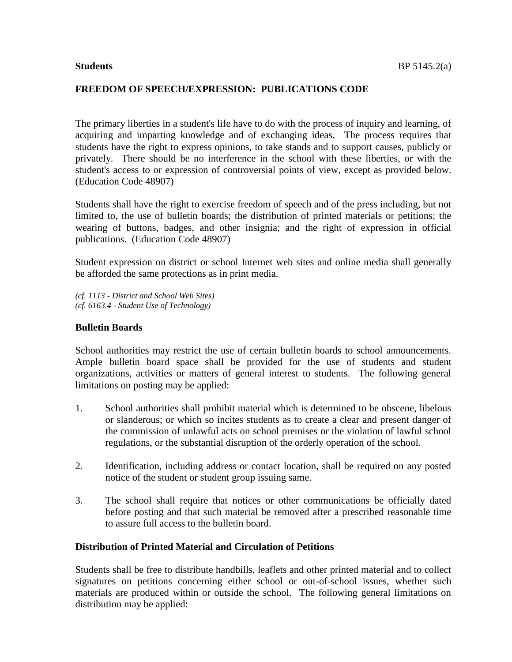#### **FREEDOM OF SPEECH/EXPRESSION: PUBLICATIONS CODE**

The primary liberties in a student's life have to do with the process of inquiry and learning, of acquiring and imparting knowledge and of exchanging ideas. The process requires that students have the right to express opinions, to take stands and to support causes, publicly or privately. There should be no interference in the school with these liberties, or with the student's access to or expression of controversial points of view, except as provided below. (Education Code 48907)

Students shall have the right to exercise freedom of speech and of the press including, but not limited to, the use of bulletin boards; the distribution of printed materials or petitions; the wearing of buttons, badges, and other insignia; and the right of expression in official publications. (Education Code 48907)

Student expression on district or school Internet web sites and online media shall generally be afforded the same protections as in print media.

*(cf. 1113 - District and School Web Sites) (cf. 6163.4 - Student Use of Technology)*

#### **Bulletin Boards**

School authorities may restrict the use of certain bulletin boards to school announcements. Ample bulletin board space shall be provided for the use of students and student organizations, activities or matters of general interest to students. The following general limitations on posting may be applied:

- 1. School authorities shall prohibit material which is determined to be obscene, libelous or slanderous; or which so incites students as to create a clear and present danger of the commission of unlawful acts on school premises or the violation of lawful school regulations, or the substantial disruption of the orderly operation of the school.
- 2. Identification, including address or contact location, shall be required on any posted notice of the student or student group issuing same.
- 3. The school shall require that notices or other communications be officially dated before posting and that such material be removed after a prescribed reasonable time to assure full access to the bulletin board.

## **Distribution of Printed Material and Circulation of Petitions**

Students shall be free to distribute handbills, leaflets and other printed material and to collect signatures on petitions concerning either school or out-of-school issues, whether such materials are produced within or outside the school. The following general limitations on distribution may be applied: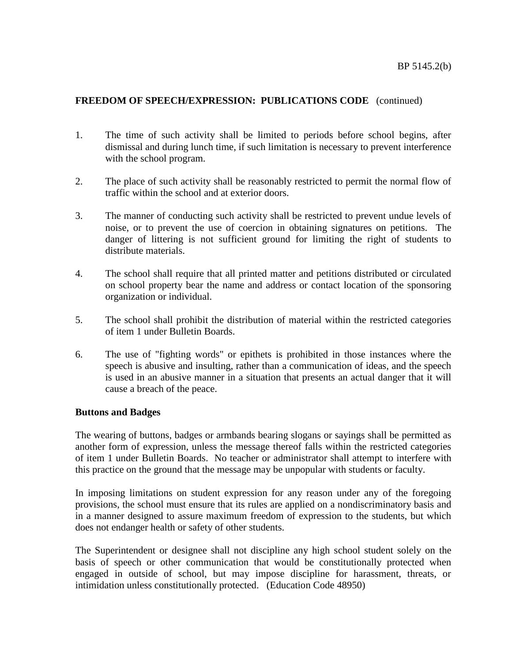## **FREEDOM OF SPEECH/EXPRESSION: PUBLICATIONS CODE** (continued)

- 1. The time of such activity shall be limited to periods before school begins, after dismissal and during lunch time, if such limitation is necessary to prevent interference with the school program.
- 2. The place of such activity shall be reasonably restricted to permit the normal flow of traffic within the school and at exterior doors.
- 3. The manner of conducting such activity shall be restricted to prevent undue levels of noise, or to prevent the use of coercion in obtaining signatures on petitions. The danger of littering is not sufficient ground for limiting the right of students to distribute materials.
- 4. The school shall require that all printed matter and petitions distributed or circulated on school property bear the name and address or contact location of the sponsoring organization or individual.
- 5. The school shall prohibit the distribution of material within the restricted categories of item 1 under Bulletin Boards.
- 6. The use of "fighting words" or epithets is prohibited in those instances where the speech is abusive and insulting, rather than a communication of ideas, and the speech is used in an abusive manner in a situation that presents an actual danger that it will cause a breach of the peace.

## **Buttons and Badges**

The wearing of buttons, badges or armbands bearing slogans or sayings shall be permitted as another form of expression, unless the message thereof falls within the restricted categories of item 1 under Bulletin Boards. No teacher or administrator shall attempt to interfere with this practice on the ground that the message may be unpopular with students or faculty.

In imposing limitations on student expression for any reason under any of the foregoing provisions, the school must ensure that its rules are applied on a nondiscriminatory basis and in a manner designed to assure maximum freedom of expression to the students, but which does not endanger health or safety of other students.

The Superintendent or designee shall not discipline any high school student solely on the basis of speech or other communication that would be constitutionally protected when engaged in outside of school, but may impose discipline for harassment, threats, or intimidation unless constitutionally protected. (Education Code 48950)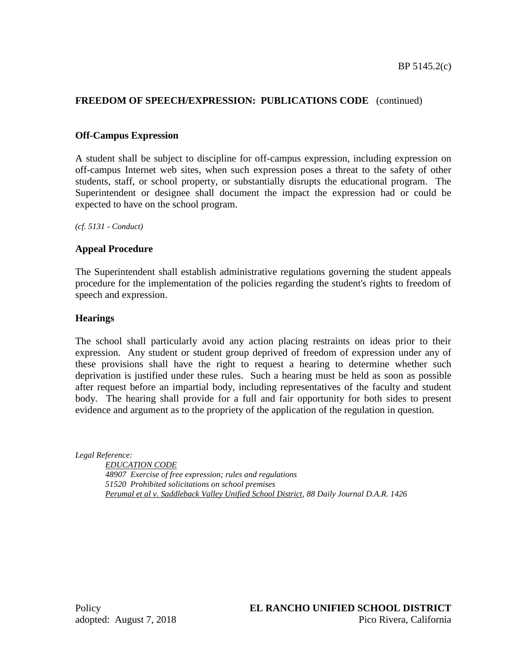# **FREEDOM OF SPEECH/EXPRESSION: PUBLICATIONS CODE** (continued)

## **Off-Campus Expression**

A student shall be subject to discipline for off-campus expression, including expression on off-campus Internet web sites, when such expression poses a threat to the safety of other students, staff, or school property, or substantially disrupts the educational program. The Superintendent or designee shall document the impact the expression had or could be expected to have on the school program.

*(cf. 5131 - Conduct)*

#### **Appeal Procedure**

The Superintendent shall establish administrative regulations governing the student appeals procedure for the implementation of the policies regarding the student's rights to freedom of speech and expression.

#### **Hearings**

The school shall particularly avoid any action placing restraints on ideas prior to their expression. Any student or student group deprived of freedom of expression under any of these provisions shall have the right to request a hearing to determine whether such deprivation is justified under these rules. Such a hearing must be held as soon as possible after request before an impartial body, including representatives of the faculty and student body. The hearing shall provide for a full and fair opportunity for both sides to present evidence and argument as to the propriety of the application of the regulation in question.

*Legal Reference:*

*EDUCATION CODE 48907 Exercise of free expression; rules and regulations 51520 Prohibited solicitations on school premises Perumal et al v. Saddleback Valley Unified School District, 88 Daily Journal D.A.R. 1426*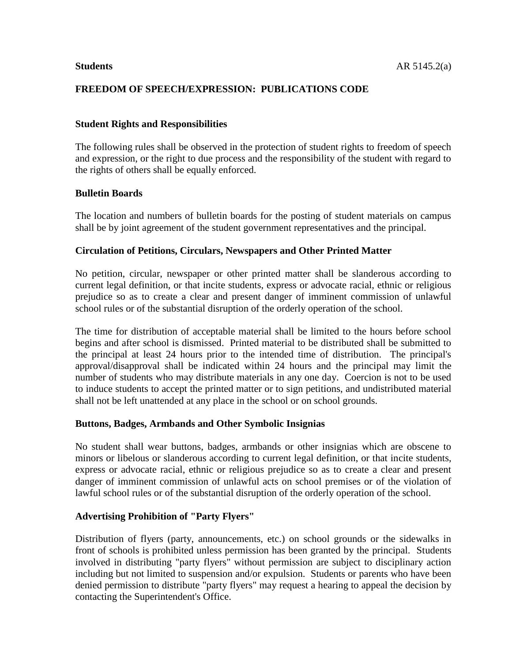## **FREEDOM OF SPEECH/EXPRESSION: PUBLICATIONS CODE**

## **Student Rights and Responsibilities**

The following rules shall be observed in the protection of student rights to freedom of speech and expression, or the right to due process and the responsibility of the student with regard to the rights of others shall be equally enforced.

## **Bulletin Boards**

The location and numbers of bulletin boards for the posting of student materials on campus shall be by joint agreement of the student government representatives and the principal.

#### **Circulation of Petitions, Circulars, Newspapers and Other Printed Matter**

No petition, circular, newspaper or other printed matter shall be slanderous according to current legal definition, or that incite students, express or advocate racial, ethnic or religious prejudice so as to create a clear and present danger of imminent commission of unlawful school rules or of the substantial disruption of the orderly operation of the school.

The time for distribution of acceptable material shall be limited to the hours before school begins and after school is dismissed. Printed material to be distributed shall be submitted to the principal at least 24 hours prior to the intended time of distribution. The principal's approval/disapproval shall be indicated within 24 hours and the principal may limit the number of students who may distribute materials in any one day. Coercion is not to be used to induce students to accept the printed matter or to sign petitions, and undistributed material shall not be left unattended at any place in the school or on school grounds.

#### **Buttons, Badges, Armbands and Other Symbolic Insignias**

No student shall wear buttons, badges, armbands or other insignias which are obscene to minors or libelous or slanderous according to current legal definition, or that incite students, express or advocate racial, ethnic or religious prejudice so as to create a clear and present danger of imminent commission of unlawful acts on school premises or of the violation of lawful school rules or of the substantial disruption of the orderly operation of the school.

#### **Advertising Prohibition of "Party Flyers"**

Distribution of flyers (party, announcements, etc.) on school grounds or the sidewalks in front of schools is prohibited unless permission has been granted by the principal. Students involved in distributing "party flyers" without permission are subject to disciplinary action including but not limited to suspension and/or expulsion. Students or parents who have been denied permission to distribute "party flyers" may request a hearing to appeal the decision by contacting the Superintendent's Office.